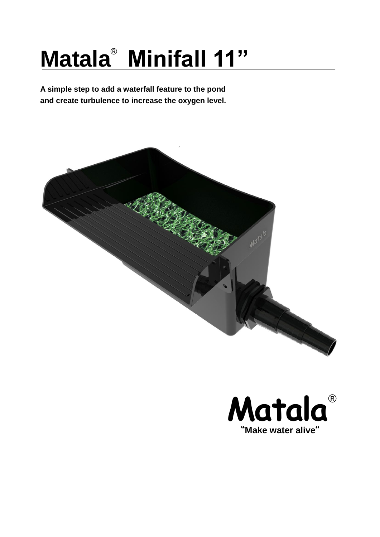# **Matala**<sup>®</sup> Minifall 11"

**A simple step to add a waterfall feature to the pond and create turbulence to increase the oxygen level.**



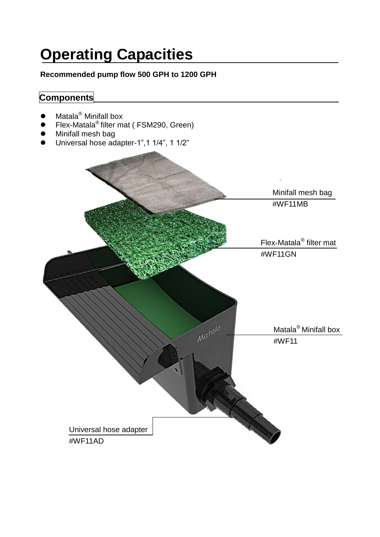## **Operating Capacities**

#### **Recommended pump flow 500 GPH to 1200 GPH**

### **Components**

- Matala<sup>®</sup> Minifall box
- Flex-Matala<sup>®</sup> filter mat (FSM290, Green)
- Minifall mesh bag
- Universal hose adapter-1",1 1/4", 1 1/2"

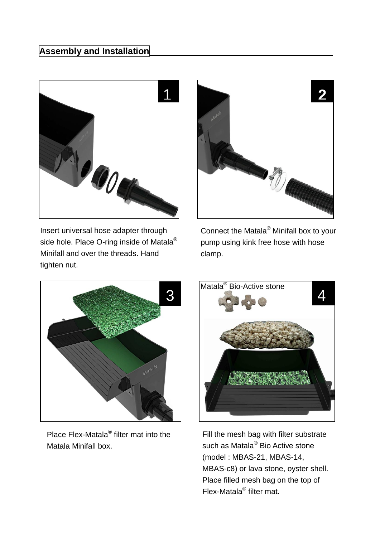

Insert universal hose adapter through side hole. Place O-ring inside of Matala® Minifall and over the threads. Hand tighten nut.



Connect the Matala® Minifall box to your pump using kink free hose with hose clamp.



Place Flex-Matala<sup>®</sup> filter mat into the Matala Minifall box.



Fill the mesh bag with filter substrate such as Matala<sup>®</sup> Bio Active stone (model : MBAS-21, MBAS-14, MBAS-c8) or lava stone, oyster shell. Place filled mesh bag on the top of Flex-Matala® filter mat.